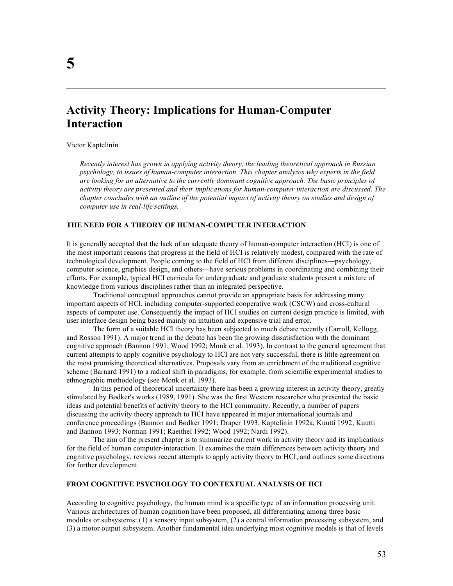# **Activity Theory: Implications for Human-Computer Interaction**

#### Victor Kaptelinin

*Recently interest has grown in applying activity theory, the leading theoretical approach in Russian psychology, to issues of human-computer interaction. This chapter analyzes why experts in the field are looking for an alternative to the currently dominant cognitive approach. The basic principles of activity theory are presented and their implications for human-computer interaction are discussed. The chapter concludes with an outline of the potential impact of activity theory on studies and design of computer use in real-life settings.*

# **THE NEED FOR A THEORY OF HUMAN-COMPUTER INTERACTION**

It is generally accepted that the lack of an adequate theory of human-computer interaction (HCI) is one of the most important reasons that progress in the field of HCI is relatively modest, compared with the rate of technological development. People coming to the field of HCI from different disciplines—psychology, computer science, graphics design, and others—have serious problems in coordinating and combining their efforts. For example, typical HCI curricula for undergraduate and graduate students present a mixture of knowledge from various disciplines rather than an integrated perspective.

Traditional conceptual approaches cannot provide an appropriate basis for addressing many important aspects of HCI, including computer-supported cooperative work (CSCW) and cross-cultural aspects of computer use. Consequently the impact of HCI studies on current design practice is limited, with user interface design being based mainly on intuition and expensive trial and error.

The form of a suitable HCI theory has been subjected to much debate recently (Carroll, Kellogg, and Rosson 1991). A major trend in the debate has been the growing dissatisfaction with the dominant cognitive approach (Bannon 1991; Wood 1992; Monk et al. 1993). In contrast to the general agreement that current attempts to apply cognitive psychology to HCI are not very successful, there is little agreement on the most promising theoretical alternatives. Proposals vary from an enrichment of the traditional cognitive scheme (Barnard 1991) to a radical shift in paradigms, for example, from scientific experimental studies to ethnographic methodology (see Monk et al. 1993).

In this period of theoretical uncertainty there has been a growing interest in activity theory, greatly stimulated by Bødker's works (1989, 1991). She was the first Western researcher who presented the basic ideas and potential benefits of activity theory to the HCI community. Recently, a number of papers discussing the activity theory approach to HCI have appeared in major international journals and conference proceedings (Bannon and Bødker 1991; Draper 1993; Kaptelinin 1992a; Kuutti 1992; Kuutti and Bannon 1993; Norman 1991; Raeithel 1992; Wood 1992; Nardi 1992).

The aim of the present chapter is to summarize current work in activity theory and its implications for the field of human computer-interaction. It examines the main differences between activity theory and cognitive psychology, reviews recent attempts to apply activity theory to HCI, and outlines some directions for further development.

# **FROM COGNITIVE PSYCHOLOGY TO CONTEXTUAL ANALYSIS OF HCI**

According to cognitive psychology, the human mind is a specific type of an information processing unit. Various architectures of human cognition have been proposed, all differentiating among three basic modules or subsystems: (1) a sensory input subsystem, (2) a central information processing subsystem, and (3) a motor output subsystem. Another fundamental idea underlying most cognitive models is that of levels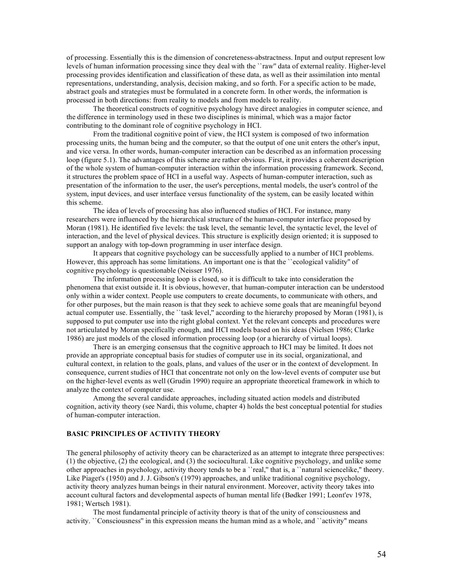of processing. Essentially this is the dimension of concreteness-abstractness. Input and output represent low levels of human information processing since they deal with the ``raw'' data of external reality. Higher-level processing provides identification and classification of these data, as well as their assimilation into mental representations, understanding, analysis, decision making, and so forth. For a specific action to be made, abstract goals and strategies must be formulated in a concrete form. In other words, the information is processed in both directions: from reality to models and from models to reality.

The theoretical constructs of cognitive psychology have direct analogies in computer science, and the difference in terminology used in these two disciplines is minimal, which was a major factor contributing to the dominant role of cognitive psychology in HCI.

From the traditional cognitive point of view, the HCI system is composed of two information processing units, the human being and the computer, so that the output of one unit enters the other's input, and vice versa. In other words, human-computer interaction can be described as an information processing loop (figure 5.1). The advantages of this scheme are rather obvious. First, it provides a coherent description of the whole system of human-computer interaction within the information processing framework. Second, it structures the problem space of HCI in a useful way. Aspects of human-computer interaction, such as presentation of the information to the user, the user's perceptions, mental models, the user's control of the system, input devices, and user interface versus functionality of the system, can be easily located within this scheme.

The idea of levels of processing has also influenced studies of HCI. For instance, many researchers were influenced by the hierarchical structure of the human-computer interface proposed by Moran (1981). He identified five levels: the task level, the semantic level, the syntactic level, the level of interaction, and the level of physical devices. This structure is explicitly design oriented; it is supposed to support an analogy with top-down programming in user interface design.

It appears that cognitive psychology can be successfully applied to a number of HCI problems. However, this approach has some limitations. An important one is that the ``ecological validity'' of cognitive psychology is questionable (Neisser 1976).

The information processing loop is closed, so it is difficult to take into consideration the phenomena that exist outside it. It is obvious, however, that human-computer interaction can be understood only within a wider context. People use computers to create documents, to communicate with others, and for other purposes, but the main reason is that they seek to achieve some goals that are meaningful beyond actual computer use. Essentially, the ``task level,'' according to the hierarchy proposed by Moran (1981), is supposed to put computer use into the right global context. Yet the relevant concepts and procedures were not articulated by Moran specifically enough, and HCI models based on his ideas (Nielsen 1986; Clarke 1986) are just models of the closed information processing loop (or a hierarchy of virtual loops).

There is an emerging consensus that the cognitive approach to HCI may be limited. It does not provide an appropriate conceptual basis for studies of computer use in its social, organizational, and cultural context, in relation to the goals, plans, and values of the user or in the context of development. In consequence, current studies of HCI that concentrate not only on the low-level events of computer use but on the higher-level events as well (Grudin 1990) require an appropriate theoretical framework in which to analyze the context of computer use.

Among the several candidate approaches, including situated action models and distributed cognition, activity theory (see Nardi, this volume, chapter 4) holds the best conceptual potential for studies of human-computer interaction.

#### **BASIC PRINCIPLES OF ACTIVITY THEORY**

The general philosophy of activity theory can be characterized as an attempt to integrate three perspectives: (1) the objective, (2) the ecological, and (3) the sociocultural. Like cognitive psychology, and unlike some other approaches in psychology, activity theory tends to be a ``real,'' that is, a ``natural sciencelike,'' theory. Like Piaget's (1950) and J. J. Gibson's (1979) approaches, and unlike traditional cognitive psychology, activity theory analyzes human beings in their natural environment. Moreover, activity theory takes into account cultural factors and developmental aspects of human mental life (Bødker 1991; Leont'ev 1978, 1981; Wertsch 1981).

The most fundamental principle of activity theory is that of the unity of consciousness and activity. ``Consciousness'' in this expression means the human mind as a whole, and ``activity'' means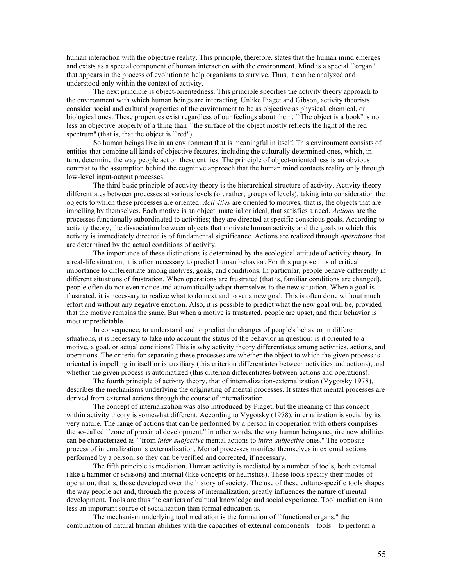human interaction with the objective reality. This principle, therefore, states that the human mind emerges and exists as a special component of human interaction with the environment. Mind is a special ``organ'' that appears in the process of evolution to help organisms to survive. Thus, it can be analyzed and understood only within the context of activity.

The next principle is object-orientedness. This principle specifies the activity theory approach to the environment with which human beings are interacting. Unlike Piaget and Gibson, activity theorists consider social and cultural properties of the environment to be as objective as physical, chemical, or biological ones. These properties exist regardless of our feelings about them. ``The object is a book'' is no less an objective property of a thing than ``the surface of the object mostly reflects the light of the red spectrum" (that is, that the object is 'red").

So human beings live in an environment that is meaningful in itself. This environment consists of entities that combine all kinds of objective features, including the culturally determined ones, which, in turn, determine the way people act on these entities. The principle of object-orientedness is an obvious contrast to the assumption behind the cognitive approach that the human mind contacts reality only through low-level input-output processes.

The third basic principle of activity theory is the hierarchical structure of activity. Activity theory differentiates between processes at various levels (or, rather, groups of levels), taking into consideration the objects to which these processes are oriented. *Activities* are oriented to motives, that is, the objects that are impelling by themselves. Each motive is an object, material or ideal, that satisfies a need. *Actions* are the processes functionally subordinated to activities; they are directed at specific conscious goals. According to activity theory, the dissociation between objects that motivate human activity and the goals to which this activity is immediately directed is of fundamental significance. Actions are realized through *operations* that are determined by the actual conditions of activity.

The importance of these distinctions is determined by the ecological attitude of activity theory. In a real-life situation, it is often necessary to predict human behavior. For this purpose it is of critical importance to differentiate among motives, goals, and conditions. In particular, people behave differently in different situations of frustration. When operations are frustrated (that is, familiar conditions are changed), people often do not even notice and automatically adapt themselves to the new situation. When a goal is frustrated, it is necessary to realize what to do next and to set a new goal. This is often done without much effort and without any negative emotion. Also, it is possible to predict what the new goal will be, provided that the motive remains the same. But when a motive is frustrated, people are upset, and their behavior is most unpredictable.

In consequence, to understand and to predict the changes of people's behavior in different situations, it is necessary to take into account the status of the behavior in question: is it oriented to a motive, a goal, or actual conditions? This is why activity theory differentiates among activities, actions, and operations. The criteria for separating these processes are whether the object to which the given process is oriented is impelling in itself or is auxiliary (this criterion differentiates between activities and actions), and whether the given process is automatized (this criterion differentiates between actions and operations).

The fourth principle of activity theory, that of internalization-externalization (Vygotsky 1978), describes the mechanisms underlying the originating of mental processes. It states that mental processes are derived from external actions through the course of internalization.

The concept of internalization was also introduced by Piaget, but the meaning of this concept within activity theory is somewhat different. According to Vygotsky (1978), internalization is social by its very nature. The range of actions that can be performed by a person in cooperation with others comprises the so-called ``zone of proximal development.'' In other words, the way human beings acquire new abilities can be characterized as ``from *inter-subjective* mental actions to *intra-subjective* ones.'' The opposite process of internalization is externalization. Mental processes manifest themselves in external actions performed by a person, so they can be verified and corrected, if necessary.

The fifth principle is mediation. Human activity is mediated by a number of tools, both external (like a hammer or scissors) and internal (like concepts or heuristics). These tools specify their modes of operation, that is, those developed over the history of society. The use of these culture-specific tools shapes the way people act and, through the process of internalization, greatly influences the nature of mental development. Tools are thus the carriers of cultural knowledge and social experience. Tool mediation is no less an important source of socialization than formal education is.

The mechanism underlying tool mediation is the formation of ``functional organs,'' the combination of natural human abilities with the capacities of external components—tools—to perform a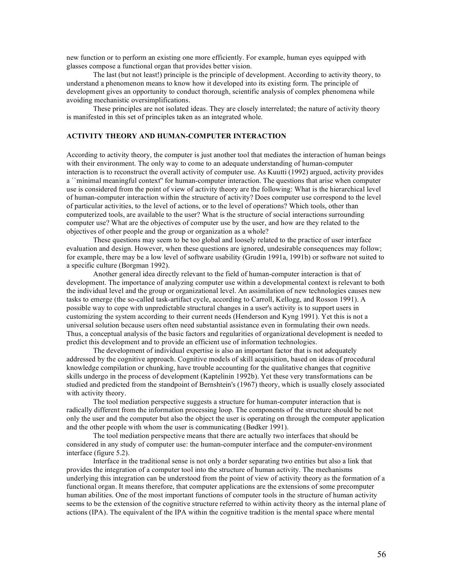new function or to perform an existing one more efficiently. For example, human eyes equipped with glasses compose a functional organ that provides better vision.

The last (but not least!) principle is the principle of development. According to activity theory, to understand a phenomenon means to know how it developed into its existing form. The principle of development gives an opportunity to conduct thorough, scientific analysis of complex phenomena while avoiding mechanistic oversimplifications.

These principles are not isolated ideas. They are closely interrelated; the nature of activity theory is manifested in this set of principles taken as an integrated whole.

# **ACTIVITY THEORY AND HUMAN-COMPUTER INTERACTION**

According to activity theory, the computer is just another tool that mediates the interaction of human beings with their environment. The only way to come to an adequate understanding of human-computer interaction is to reconstruct the overall activity of computer use. As Kuutti (1992) argued, activity provides a ``minimal meaningful context'' for human-computer interaction. The questions that arise when computer use is considered from the point of view of activity theory are the following: What is the hierarchical level of human-computer interaction within the structure of activity? Does computer use correspond to the level of particular activities, to the level of actions, or to the level of operations? Which tools, other than computerized tools, are available to the user? What is the structure of social interactions surrounding computer use? What are the objectives of computer use by the user, and how are they related to the objectives of other people and the group or organization as a whole?

These questions may seem to be too global and loosely related to the practice of user interface evaluation and design. However, when these questions are ignored, undesirable consequences may follow; for example, there may be a low level of software usability (Grudin 1991a, 1991b) or software not suited to a specific culture (Borgman 1992).

Another general idea directly relevant to the field of human-computer interaction is that of development. The importance of analyzing computer use within a developmental context is relevant to both the individual level and the group or organizational level. An assimilation of new technologies causes new tasks to emerge (the so-called task-artifact cycle, according to Carroll, Kellogg, and Rosson 1991). A possible way to cope with unpredictable structural changes in a user's activity is to support users in customizing the system according to their current needs (Henderson and Kyng 1991). Yet this is not a universal solution because users often need substantial assistance even in formulating their own needs. Thus, a conceptual analysis of the basic factors and regularities of organizational development is needed to predict this development and to provide an efficient use of information technologies.

The development of individual expertise is also an important factor that is not adequately addressed by the cognitive approach. Cognitive models of skill acquisition, based on ideas of procedural knowledge compilation or chunking, have trouble accounting for the qualitative changes that cognitive skills undergo in the process of development (Kaptelinin 1992b). Yet these very transformations can be studied and predicted from the standpoint of Bernshtein's (1967) theory, which is usually closely associated with activity theory.

The tool mediation perspective suggests a structure for human-computer interaction that is radically different from the information processing loop. The components of the structure should be not only the user and the computer but also the object the user is operating on through the computer application and the other people with whom the user is communicating (Bødker 1991).

The tool mediation perspective means that there are actually two interfaces that should be considered in any study of computer use: the human-computer interface and the computer-environment interface (figure 5.2).

Interface in the traditional sense is not only a border separating two entities but also a link that provides the integration of a computer tool into the structure of human activity. The mechanisms underlying this integration can be understood from the point of view of activity theory as the formation of a functional organ. It means therefore, that computer applications are the extensions of some precomputer human abilities. One of the most important functions of computer tools in the structure of human activity seems to be the extension of the cognitive structure referred to within activity theory as the internal plane of actions (IPA). The equivalent of the IPA within the cognitive tradition is the mental space where mental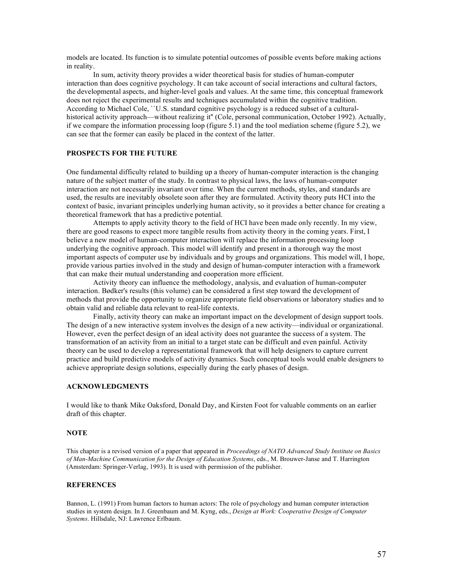models are located. Its function is to simulate potential outcomes of possible events before making actions in reality.

In sum, activity theory provides a wider theoretical basis for studies of human-computer interaction than does cognitive psychology. It can take account of social interactions and cultural factors, the developmental aspects, and higher-level goals and values. At the same time, this conceptual framework does not reject the experimental results and techniques accumulated within the cognitive tradition. According to Michael Cole, ``U.S. standard cognitive psychology is a reduced subset of a culturalhistorical activity approach—without realizing it" (Cole, personal communication, October 1992). Actually, if we compare the information processing loop (figure 5.1) and the tool mediation scheme (figure 5.2), we can see that the former can easily be placed in the context of the latter.

## **PROSPECTS FOR THE FUTURE**

One fundamental difficulty related to building up a theory of human-computer interaction is the changing nature of the subject matter of the study. In contrast to physical laws, the laws of human-computer interaction are not necessarily invariant over time. When the current methods, styles, and standards are used, the results are inevitably obsolete soon after they are formulated. Activity theory puts HCI into the context of basic, invariant principles underlying human activity, so it provides a better chance for creating a theoretical framework that has a predictive potential.

Attempts to apply activity theory to the field of HCI have been made only recently. In my view, there are good reasons to expect more tangible results from activity theory in the coming years. First, I believe a new model of human-computer interaction will replace the information processing loop underlying the cognitive approach. This model will identify and present in a thorough way the most important aspects of computer use by individuals and by groups and organizations. This model will, I hope, provide various parties involved in the study and design of human-computer interaction with a framework that can make their mutual understanding and cooperation more efficient.

Activity theory can influence the methodology, analysis, and evaluation of human-computer interaction. Bødker's results (this volume) can be considered a first step toward the development of methods that provide the opportunity to organize appropriate field observations or laboratory studies and to obtain valid and reliable data relevant to real-life contexts.

Finally, activity theory can make an important impact on the development of design support tools. The design of a new interactive system involves the design of a new activity—individual or organizational. However, even the perfect design of an ideal activity does not guarantee the success of a system. The transformation of an activity from an initial to a target state can be difficult and even painful. Activity theory can be used to develop a representational framework that will help designers to capture current practice and build predictive models of activity dynamics. Such conceptual tools would enable designers to achieve appropriate design solutions, especially during the early phases of design.

## **ACKNOWLEDGMENTS**

I would like to thank Mike Oaksford, Donald Day, and Kirsten Foot for valuable comments on an earlier draft of this chapter.

## **NOTE**

This chapter is a revised version of a paper that appeared in *Proceedings of NATO Advanced Study Institute on Basics of Man-Machine Communication for the Design of Education Systems*, eds., M. Brouwer-Janse and T. Harrington (Amsterdam: Springer-Verlag, 1993). It is used with permission of the publisher.

## **REFERENCES**

Bannon, L. (1991) From human factors to human actors: The role of psychology and human computer interaction studies in system design. In J. Greenbaum and M. Kyng, eds., *Design at Work: Cooperative Design of Computer Systems*. Hillsdale, NJ: Lawrence Erlbaum.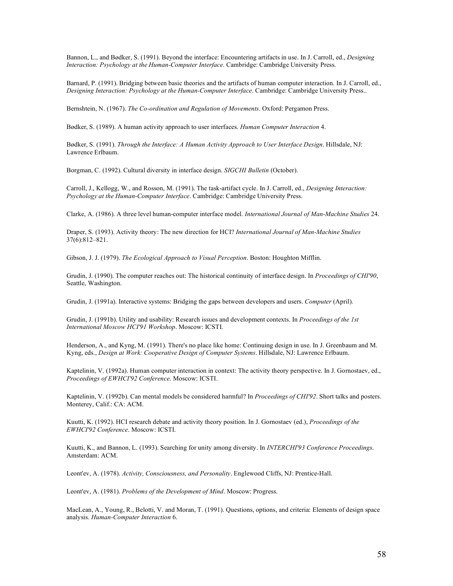Bannon, L., and Bødker, S. (1991). Beyond the interface: Encountering artifacts in use. In J. Carroll, ed., *Designing Interaction: Psychology at the Human-Computer Interface*. Cambridge: Cambridge University Press.

Barnard, P. (1991). Bridging between basic theories and the artifacts of human computer interaction. In J. Carroll, ed., *Designing Interaction: Psychology at the Human-Computer Interface*. Cambridge: Cambridge University Press..

Bernshtein, N. (1967). *The Co-ordination and Regulation of Movements*. Oxford: Pergamon Press.

Bødker, S. (1989). A human activity approach to user interfaces. *Human Computer Interaction* 4.

Bødker, S. (1991). *Through the Interface: A Human Activity Approach to User Interface Design*. Hillsdale, NJ: Lawrence Erlbaum.

Borgman, C. (1992). Cultural diversity in interface design. *SIGCHI Bulletin* (October).

Carroll, J., Kellogg, W., and Rosson, M. (1991). The task-artifact cycle. In J. Carroll, ed., *Designing Interaction: Psychology at the Human-Computer Interface*. Cambridge: Cambridge University Press.

Clarke, A. (1986). A three level human-computer interface model. *International Journal of Man-Machine Studies* 24.

Draper, S. (1993). Activity theory: The new direction for HCI? *International Journal of Man-Machine Studies* 37(6):812–821.

Gibson, J. J. (1979). *The Ecological Approach to Visual Perception*. Boston: Houghton Mifflin.

Grudin, J. (1990). The computer reaches out: The historical continuity of interface design. In *Proceedings of CHI'90*, Seattle, Washington.

Grudin, J. (1991a). Interactive systems: Bridging the gaps between developers and users. *Computer* (April).

Grudin, J. (1991b). Utility and usability: Research issues and development contexts. In *Proceedings of the 1st International Moscow HCI'91 Workshop*. Moscow: ICSTI.

Henderson, A., and Kyng, M. (1991). There's no place like home: Continuing design in use. In J. Greenbaum and M. Kyng, eds., *Design at Work: Cooperative Design of Computer Systems*. Hillsdale, NJ: Lawrence Erlbaum.

Kaptelinin, V. (1992a). Human computer interaction in context: The activity theory perspective. In J. Gornostaev, ed., *Proceedings of EWHCI'92 Conference*. Moscow: ICSTI.

Kaptelinin, V. (1992b). Can mental models be considered harmful? In *Proceedings of CHI'92*. Short talks and posters. Monterey, Calif.: CA: ACM.

Kuutti, K. (1992). HCI research debate and activity theory position. In J. Gornostaev (ed.), *Proceedings of the EWHCI'92 Conference*. Moscow: ICSTI.

Kuutti, K., and Bannon, L. (1993). Searching for unity among diversity. In *INTERCHI'93 Conference Proceedings*. Amsterdam: ACM.

Leont'ev, A. (1978). *Activity, Consciousness, and Personality*. Englewood Cliffs, NJ: Prentice-Hall.

Leont'ev, A. (1981). *Problems of the Development of Mind*. Moscow: Progress.

MacLean, A., Young, R., Belotti, V. and Moran, T. (1991). Questions, options, and criteria: Elements of design space analysis. *Human-Computer Interaction* 6.